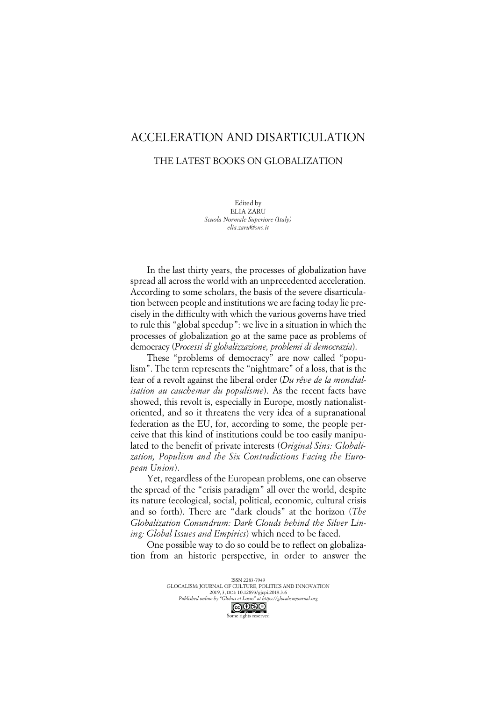## ACCELERATION AND DISARTICULATION

## THE LATEST BOOKS ON GLOBALIZATION

Edited by ELIA ZARU *Scuola Normale Superiore (Italy) elia.zaru@sns.it*

In the last thirty years, the processes of globalization have spread all across the world with an unprecedented acceleration. According to some scholars, the basis of the severe disarticulation between people and institutions we are facing today lie precisely in the difficulty with which the various governs have tried to rule this "global speedup": we live in a situation in which the processes of globalization go at the same pace as problems of democracy (*Processi di globalizzazione, problemi di democrazia*).

These "problems of democracy" are now called "populism". The term represents the "nightmare" of a loss, that is the fear of a revolt against the liberal order (*Du rêve de la mondialisation au cauchemar du populisme*). As the recent facts have showed, this revolt is, especially in Europe, mostly nationalistoriented, and so it threatens the very idea of a supranational federation as the EU, for, according to some, the people perceive that this kind of institutions could be too easily manipulated to the benefit of private interests (*Original Sins: Globalization, Populism and the Six Contradictions Facing the European Union*).

Yet, regardless of the European problems, one can observe the spread of the "crisis paradigm" all over the world, despite its nature (ecological, social, political, economic, cultural crisis and so forth). There are "dark clouds" at the horizon (*The Globalization Conundrum: Dark Clouds behind the Silver Lining: Global Issues and Empirics*) which need to be faced.

One possible way to do so could be to reflect on globalization from an historic perspective, in order to answer the

> ISSN 2283-7949 GLOCALISM: JOURNAL OF CULTURE, POLITICS AND INNOVATION 2019, 3, DOI: 10.12893/gjcpi.2019.3.6 *Published online by "Globus et Locus" at https://glocalismjournal.org*

> > Some rights reserved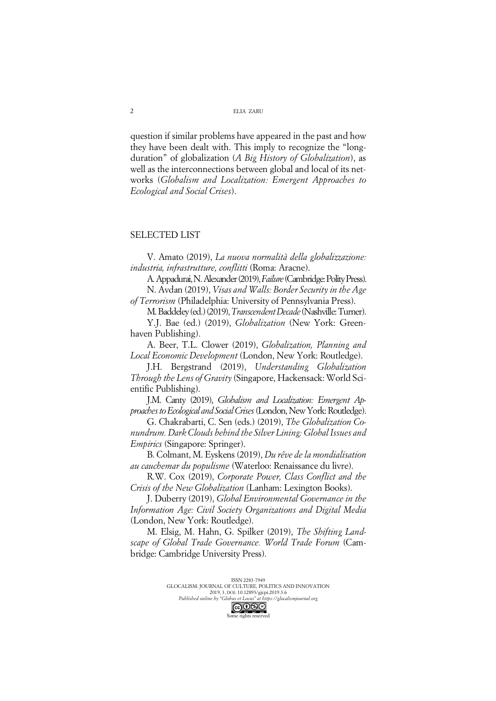question if similar problems have appeared in the past and how they have been dealt with. This imply to recognize the "longduration" of globalization (*A Big History of Globalization*), as well as the interconnections between global and local of its networks (*Globalism and Localization: Emergent Approaches to Ecological and Social Crises*).

## SELECTED LIST

V. Amato (2019), *La nuova normalità della globalizzazione: industria, infrastrutture, conflitti* (Roma: Aracne).

A. Appadurai, N. Alexander (2019), *Failure*(Cambridge: Polity Press). N. Avdan (2019), *Visas and Walls: Border Security in the Age* 

*of Terrorism* (Philadelphia: University of Pennsylvania Press).

M. Baddeley (ed.) (2019), *Transcendent Decade* (Nashville: Turner).

Y.J. Bae (ed.) (2019), *Globalization* (New York: Greenhaven Publishing).

A. Beer, T.L. Clower (2019), *Globalization, Planning and Local Economic Development* (London, New York: Routledge).

J.H. Bergstrand (2019), *Understanding Globalization Through the Lens of Gravity* (Singapore, Hackensack: World Scientific Publishing).

J.M. Canty (2019), *Globalism and Localization: Emergent Approaches to Ecological and Social Crises*(London, New York: Routledge).

G. Chakrabarti, C. Sen (eds.) (2019), *The Globalization Conundrum. Dark Clouds behind the Silver Lining: Global Issues and Empirics* (Singapore: Springer).

B. Colmant, M. Eyskens (2019), *Du rêve de la mondialisation au cauchemar du populisme* (Waterloo: Renaissance du livre).

R.W. Cox (2019), *Corporate Power, Class Conflict and the Crisis of the New Globalization* (Lanham: Lexington Books).

J. Duberry (2019), *Global Environmental Governance in the Information Age: Civil Society Organizations and Digital Media* (London, New York: Routledge).

M. Elsig, M. Hahn, G. Spilker (2019), *The Shifting Landscape of Global Trade Governance. World Trade Forum* (Cambridge: Cambridge University Press).

Some rights reserved